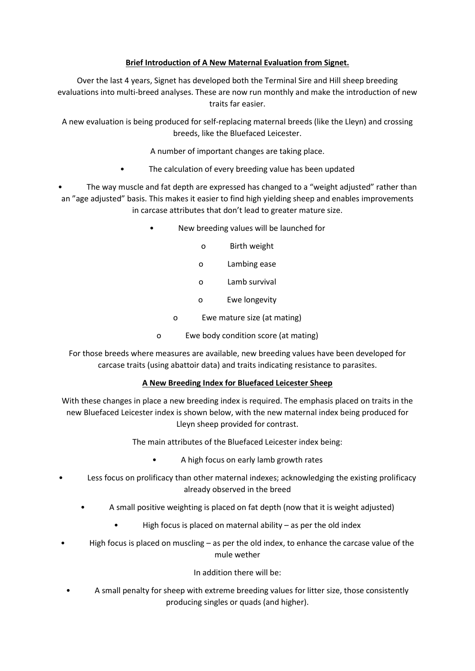## **Brief Introduction of A New Maternal Evaluation from Signet.**

Over the last 4 years, Signet has developed both the Terminal Sire and Hill sheep breeding evaluations into multi-breed analyses. These are now run monthly and make the introduction of new traits far easier.

A new evaluation is being produced for self-replacing maternal breeds (like the Lleyn) and crossing breeds, like the Bluefaced Leicester.

- A number of important changes are taking place.
- The calculation of every breeding value has been updated

The way muscle and fat depth are expressed has changed to a "weight adjusted" rather than an "age adjusted" basis. This makes it easier to find high yielding sheep and enables improvements in carcase attributes that don't lead to greater mature size.

- New breeding values will be launched for
	- o Birth weight
	- o Lambing ease
	- o Lamb survival
	- o Ewe longevity
	- o Ewe mature size (at mating)
	- o Ewe body condition score (at mating)

For those breeds where measures are available, new breeding values have been developed for carcase traits (using abattoir data) and traits indicating resistance to parasites.

## **A New Breeding Index for Bluefaced Leicester Sheep**

With these changes in place a new breeding index is required. The emphasis placed on traits in the new Bluefaced Leicester index is shown below, with the new maternal index being produced for Lleyn sheep provided for contrast.

The main attributes of the Bluefaced Leicester index being:

- A high focus on early lamb growth rates
- Less focus on prolificacy than other maternal indexes; acknowledging the existing prolificacy already observed in the breed
	- A small positive weighting is placed on fat depth (now that it is weight adjusted)
		- High focus is placed on maternal ability  $-$  as per the old index
- High focus is placed on muscling  $-$  as per the old index, to enhance the carcase value of the mule wether

## In addition there will be:

• A small penalty for sheep with extreme breeding values for litter size, those consistently producing singles or quads (and higher).